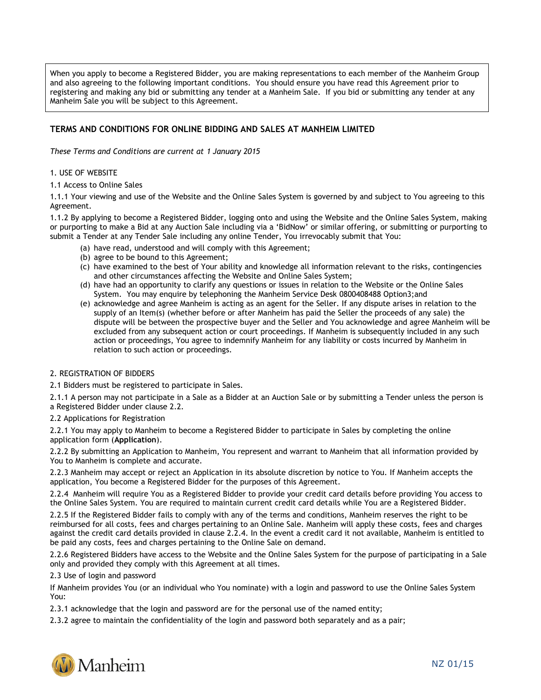When you apply to become a Registered Bidder, you are making representations to each member of the Manheim Group and also agreeing to the following important conditions. You should ensure you have read this Agreement prior to registering and making any bid or submitting any tender at a Manheim Sale. If you bid or submitting any tender at any Manheim Sale you will be subject to this Agreement.

# **TERMS AND CONDITIONS FOR ONLINE BIDDING AND SALES AT MANHEIM LIMITED**

*These Terms and Conditions are current at 1 January 2015*

## 1. USE OF WEBSITE

1.1 Access to Online Sales

1.1.1 Your viewing and use of the Website and the Online Sales System is governed by and subject to You agreeing to this Agreement.

1.1.2 By applying to become a Registered Bidder, logging onto and using the Website and the Online Sales System, making or purporting to make a Bid at any Auction Sale including via a 'BidNow' or similar offering, or submitting or purporting to submit a Tender at any Tender Sale including any online Tender, You irrevocably submit that You:

- (a) have read, understood and will comply with this Agreement;
- (b) agree to be bound to this Agreement;
- (c) have examined to the best of Your ability and knowledge all information relevant to the risks, contingencies and other circumstances affecting the Website and Online Sales System;
- (d) have had an opportunity to clarify any questions or issues in relation to the Website or the Online Sales System. You may enquire by telephoning the Manheim Service Desk 0800408488 Option3;and
- (e) acknowledge and agree Manheim is acting as an agent for the Seller. If any dispute arises in relation to the supply of an Item(s) (whether before or after Manheim has paid the Seller the proceeds of any sale) the dispute will be between the prospective buyer and the Seller and You acknowledge and agree Manheim will be excluded from any subsequent action or court proceedings. If Manheim is subsequently included in any such action or proceedings, You agree to indemnify Manheim for any liability or costs incurred by Manheim in relation to such action or proceedings.

### 2. REGISTRATION OF BIDDERS

2.1 Bidders must be registered to participate in Sales.

2.1.1 A person may not participate in a Sale as a Bidder at an Auction Sale or by submitting a Tender unless the person is a Registered Bidder under clause 2.2.

2.2 Applications for Registration

2.2.1 You may apply to Manheim to become a Registered Bidder to participate in Sales by completing the online application form (**Application**).

2.2.2 By submitting an Application to Manheim, You represent and warrant to Manheim that all information provided by You to Manheim is complete and accurate.

2.2.3 Manheim may accept or reject an Application in its absolute discretion by notice to You. If Manheim accepts the application, You become a Registered Bidder for the purposes of this Agreement.

2.2.4 Manheim will require You as a Registered Bidder to provide your credit card details before providing You access to the Online Sales System. You are required to maintain current credit card details while You are a Registered Bidder.

2.2.5 If the Registered Bidder fails to comply with any of the terms and conditions, Manheim reserves the right to be reimbursed for all costs, fees and charges pertaining to an Online Sale. Manheim will apply these costs, fees and charges against the credit card details provided in clause 2.2.4. In the event a credit card it not available, Manheim is entitled to be paid any costs, fees and charges pertaining to the Online Sale on demand.

2.2.6 Registered Bidders have access to the Website and the Online Sales System for the purpose of participating in a Sale only and provided they comply with this Agreement at all times.

2.3 Use of login and password

If Manheim provides You (or an individual who You nominate) with a login and password to use the Online Sales System You:

2.3.1 acknowledge that the login and password are for the personal use of the named entity;

2.3.2 agree to maintain the confidentiality of the login and password both separately and as a pair;

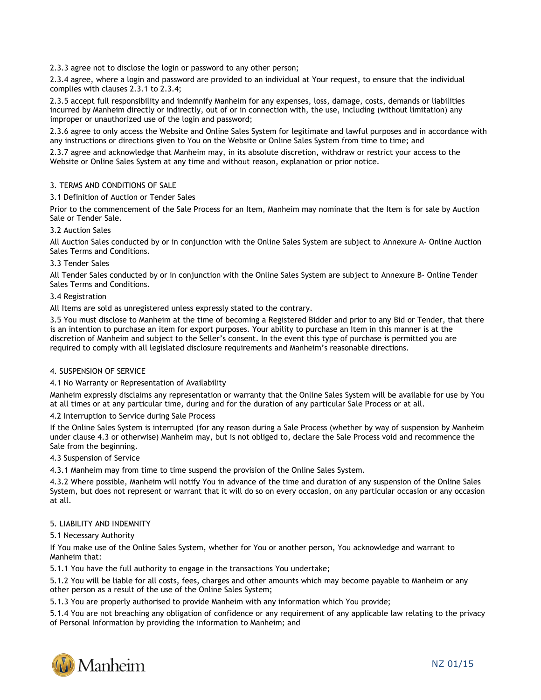2.3.3 agree not to disclose the login or password to any other person;

2.3.4 agree, where a login and password are provided to an individual at Your request, to ensure that the individual complies with clauses 2.3.1 to 2.3.4;

2.3.5 accept full responsibility and indemnify Manheim for any expenses, loss, damage, costs, demands or liabilities incurred by Manheim directly or indirectly, out of or in connection with, the use, including (without limitation) any improper or unauthorized use of the login and password;

2.3.6 agree to only access the Website and Online Sales System for legitimate and lawful purposes and in accordance with any instructions or directions given to You on the Website or Online Sales System from time to time; and

2.3.7 agree and acknowledge that Manheim may, in its absolute discretion, withdraw or restrict your access to the Website or Online Sales System at any time and without reason, explanation or prior notice.

# 3. TERMS AND CONDITIONS OF SALE

### 3.1 Definition of Auction or Tender Sales

Prior to the commencement of the Sale Process for an Item, Manheim may nominate that the Item is for sale by Auction Sale or Tender Sale.

### 3.2 Auction Sales

All Auction Sales conducted by or in conjunction with the Online Sales System are subject to Annexure A- Online Auction Sales Terms and Conditions.

### 3.3 Tender Sales

All Tender Sales conducted by or in conjunction with the Online Sales System are subject to Annexure B- Online Tender Sales Terms and Conditions.

### 3.4 Registration

All Items are sold as unregistered unless expressly stated to the contrary.

3.5 You must disclose to Manheim at the time of becoming a Registered Bidder and prior to any Bid or Tender, that there is an intention to purchase an item for export purposes. Your ability to purchase an Item in this manner is at the discretion of Manheim and subject to the Seller's consent. In the event this type of purchase is permitted you are required to comply with all legislated disclosure requirements and Manheim's reasonable directions.

### 4. SUSPENSION OF SERVICE

### 4.1 No Warranty or Representation of Availability

Manheim expressly disclaims any representation or warranty that the Online Sales System will be available for use by You at all times or at any particular time, during and for the duration of any particular Sale Process or at all.

4.2 Interruption to Service during Sale Process

If the Online Sales System is interrupted (for any reason during a Sale Process (whether by way of suspension by Manheim under clause 4.3 or otherwise) Manheim may, but is not obliged to, declare the Sale Process void and recommence the Sale from the beginning.

### 4.3 Suspension of Service

4.3.1 Manheim may from time to time suspend the provision of the Online Sales System.

4.3.2 Where possible, Manheim will notify You in advance of the time and duration of any suspension of the Online Sales System, but does not represent or warrant that it will do so on every occasion, on any particular occasion or any occasion at all.

### 5. LIABILITY AND INDEMNITY

### 5.1 Necessary Authority

If You make use of the Online Sales System, whether for You or another person, You acknowledge and warrant to Manheim that:

5.1.1 You have the full authority to engage in the transactions You undertake;

5.1.2 You will be liable for all costs, fees, charges and other amounts which may become payable to Manheim or any other person as a result of the use of the Online Sales System;

5.1.3 You are properly authorised to provide Manheim with any information which You provide;

5.1.4 You are not breaching any obligation of confidence or any requirement of any applicable law relating to the privacy of Personal Information by providing the information to Manheim; and

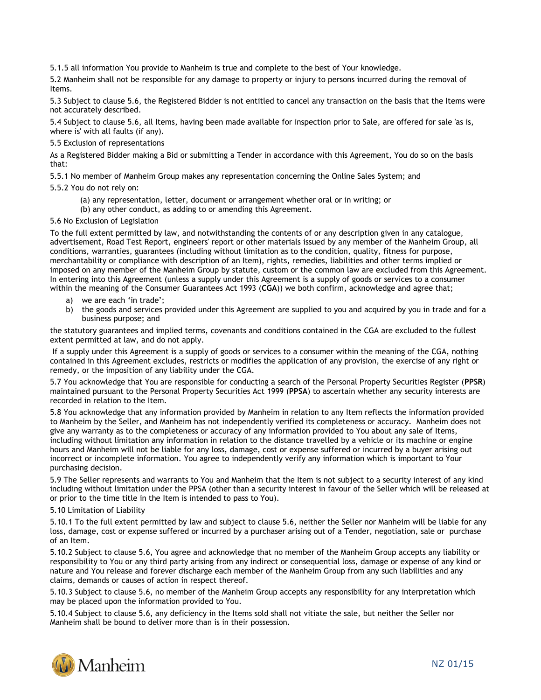5.1.5 all information You provide to Manheim is true and complete to the best of Your knowledge.

5.2 Manheim shall not be responsible for any damage to property or injury to persons incurred during the removal of Items.

5.3 Subject to clause 5.6, the Registered Bidder is not entitled to cancel any transaction on the basis that the Items were not accurately described.

5.4 Subject to clause 5.6, all Items, having been made available for inspection prior to Sale, are offered for sale 'as is, where is' with all faults (if any).

5.5 Exclusion of representations

As a Registered Bidder making a Bid or submitting a Tender in accordance with this Agreement, You do so on the basis that:

5.5.1 No member of Manheim Group makes any representation concerning the Online Sales System; and

5.5.2 You do not rely on:

- (a) any representation, letter, document or arrangement whether oral or in writing; or
- (b) any other conduct, as adding to or amending this Agreement.

# 5.6 No Exclusion of Legislation

To the full extent permitted by law, and notwithstanding the contents of or any description given in any catalogue, advertisement, Road Test Report, engineers' report or other materials issued by any member of the Manheim Group, all conditions, warranties, guarantees (including without limitation as to the condition, quality, fitness for purpose, merchantability or compliance with description of an Item), rights, remedies, liabilities and other terms implied or imposed on any member of the Manheim Group by statute, custom or the common law are excluded from this Agreement. In entering into this Agreement (unless a supply under this Agreement is a supply of goods or services to a consumer within the meaning of the Consumer Guarantees Act 1993 (**CGA**)) we both confirm, acknowledge and agree that;

- a) we are each 'in trade';
- b) the goods and services provided under this Agreement are supplied to you and acquired by you in trade and for a business purpose; and

the statutory guarantees and implied terms, covenants and conditions contained in the CGA are excluded to the fullest extent permitted at law, and do not apply.

If a supply under this Agreement is a supply of goods or services to a consumer within the meaning of the CGA, nothing contained in this Agreement excludes, restricts or modifies the application of any provision, the exercise of any right or remedy, or the imposition of any liability under the CGA.

5.7 You acknowledge that You are responsible for conducting a search of the Personal Property Securities Register (**PPSR**) maintained pursuant to the Personal Property Securities Act 1999 (**PPSA**) to ascertain whether any security interests are recorded in relation to the Item.

5.8 You acknowledge that any information provided by Manheim in relation to any Item reflects the information provided to Manheim by the Seller, and Manheim has not independently verified its completeness or accuracy. Manheim does not give any warranty as to the completeness or accuracy of any information provided to You about any sale of Items, including without limitation any information in relation to the distance travelled by a vehicle or its machine or engine hours and Manheim will not be liable for any loss, damage, cost or expense suffered or incurred by a buyer arising out incorrect or incomplete information. You agree to independently verify any information which is important to Your purchasing decision.

5.9 The Seller represents and warrants to You and Manheim that the Item is not subject to a security interest of any kind including without limitation under the PPSA (other than a security interest in favour of the Seller which will be released at or prior to the time title in the Item is intended to pass to You).

### 5.10 Limitation of Liability

5.10.1 To the full extent permitted by law and subject to clause 5.6, neither the Seller nor Manheim will be liable for any loss, damage, cost or expense suffered or incurred by a purchaser arising out of a Tender, negotiation, sale or purchase of an Item.

5.10.2 Subject to clause 5.6, You agree and acknowledge that no member of the Manheim Group accepts any liability or responsibility to You or any third party arising from any indirect or consequential loss, damage or expense of any kind or nature and You release and forever discharge each member of the Manheim Group from any such liabilities and any claims, demands or causes of action in respect thereof.

5.10.3 Subject to clause 5.6, no member of the Manheim Group accepts any responsibility for any interpretation which may be placed upon the information provided to You.

5.10.4 Subject to clause 5.6, any deficiency in the Items sold shall not vitiate the sale, but neither the Seller nor Manheim shall be bound to deliver more than is in their possession.

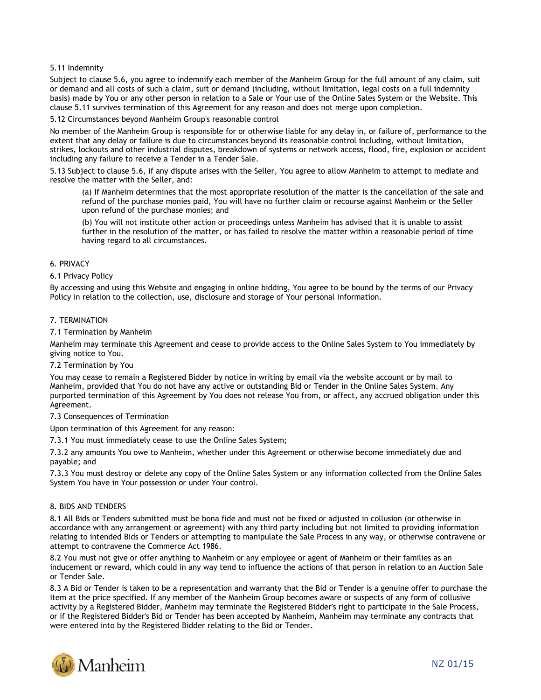## 5.11 Indemnity

Subject to clause 5.6, you agree to indemnify each member of the Manheim Group for the full amount of any claim, suit or demand and all costs of such a claim, suit or demand (including, without limitation, legal costs on a full indemnity basis) made by You or any other person in relation to a Sale or Your use of the Online Sales System or the Website. This clause 5.11 survives termination of this Agreement for any reason and does not merge upon completion.

### 5.12 Circumstances beyond Manheim Group's reasonable control

No member of the Manheim Group is responsible for or otherwise liable for any delay in, or failure of, performance to the extent that any delay or failure is due to circumstances beyond its reasonable control including, without limitation, strikes, lockouts and other industrial disputes, breakdown of systems or network access, flood, fire, explosion or accident including any failure to receive a Tender in a Tender Sale.

5.13 Subject to clause 5.6, if any dispute arises with the Seller, You agree to allow Manheim to attempt to mediate and resolve the matter with the Seller, and:

(a) If Manheim determines that the most appropriate resolution of the matter is the cancellation of the sale and refund of the purchase monies paid, You will have no further claim or recourse against Manheim or the Seller upon refund of the purchase monies; and

(b) You will not institute other action or proceedings unless Manheim has advised that it is unable to assist further in the resolution of the matter, or has failed to resolve the matter within a reasonable period of time having regard to all circumstances.

### 6. PRIVACY

# 6.1 Privacy Policy

By accessing and using this Website and engaging in online bidding, You agree to be bound by the terms of our Privacy Policy in relation to the collection, use, disclosure and storage of Your personal information.

### 7. TERMINATION

7.1 Termination by Manheim

Manheim may terminate this Agreement and cease to provide access to the Online Sales System to You immediately by giving notice to You.

### 7.2 Termination by You

You may cease to remain a Registered Bidder by notice in writing by email via the website account or by mail to Manheim, provided that You do not have any active or outstanding Bid or Tender in the Online Sales System. Any purported termination of this Agreement by You does not release You from, or affect, any accrued obligation under this Agreement.

### 7.3 Consequences of Termination

Upon termination of this Agreement for any reason:

7.3.1 You must immediately cease to use the Online Sales System;

7.3.2 any amounts You owe to Manheim, whether under this Agreement or otherwise become immediately due and payable; and

7.3.3 You must destroy or delete any copy of the Online Sales System or any information collected from the Online Sales System You have in Your possession or under Your control.

### 8. BIDS AND TENDERS

8.1 All Bids or Tenders submitted must be bona fide and must not be fixed or adjusted in collusion (or otherwise in accordance with any arrangement or agreement) with any third party including but not limited to providing information relating to intended Bids or Tenders or attempting to manipulate the Sale Process in any way, or otherwise contravene or attempt to contravene the Commerce Act 1986.

8.2 You must not give or offer anything to Manheim or any employee or agent of Manheim or their families as an inducement or reward, which could in any way tend to influence the actions of that person in relation to an Auction Sale or Tender Sale.

8.3 A Bid or Tender is taken to be a representation and warranty that the Bid or Tender is a genuine offer to purchase the Item at the price specified. If any member of the Manheim Group becomes aware or suspects of any form of collusive activity by a Registered Bidder, Manheim may terminate the Registered Bidder's right to participate in the Sale Process, or if the Registered Bidder's Bid or Tender has been accepted by Manheim, Manheim may terminate any contracts that were entered into by the Registered Bidder relating to the Bid or Tender.

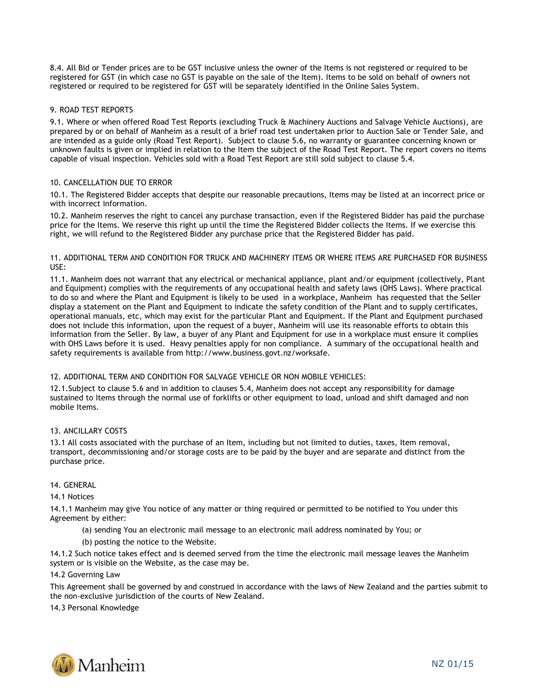8.4. All Bid or Tender prices are to be GST inclusive unless the owner of the Items is not registered or required to be registered for GST (in which case no GST is payable on the sale of the Item). Items to be sold on behalf of owners not registered or required to be registered for GST will be separately identified in the Online Sales System.

# 9. ROAD TEST REPORTS

9.1. Where or when offered Road Test Reports (excluding Truck & Machinery Auctions and Salvage Vehicle Auctions), are prepared by or on behalf of Manheim as a result of a brief road test undertaken prior to Auction Sale or Tender Sale, and are intended as a guide only (Road Test Report). Subject to clause 5.6, no warranty or guarantee concerning known or unknown faults is given or implied in relation to the Item the subject of the Road Test Report. The report covers no items capable of visual inspection. Vehicles sold with a Road Test Report are still sold subject to clause 5.4.

# 10. CANCELLATION DUE TO ERROR

10.1. The Registered Bidder accepts that despite our reasonable precautions, Items may be listed at an incorrect price or with incorrect information.

10.2. Manheim reserves the right to cancel any purchase transaction, even if the Registered Bidder has paid the purchase price for the Items. We reserve this right up until the time the Registered Bidder collects the Items. If we exercise this right, we will refund to the Registered Bidder any purchase price that the Registered Bidder has paid.

### 11. ADDITIONAL TERM AND CONDITION FOR TRUCK AND MACHINERY ITEMS OR WHERE ITEMS ARE PURCHASED FOR BUSINESS USE:

11.1. Manheim does not warrant that any electrical or mechanical appliance, plant and/or equipment (collectively, Plant and Equipment) complies with the requirements of any occupational health and safety laws (OHS Laws). Where practical to do so and where the Plant and Equipment is likely to be used in a workplace, Manheim has requested that the Seller display a statement on the Plant and Equipment to indicate the safety condition of the Plant and to supply certificates, operational manuals, etc, which may exist for the particular Plant and Equipment. If the Plant and Equipment purchased does not include this information, upon the request of a buyer, Manheim will use its reasonable efforts to obtain this information from the Seller. By law, a buyer of any Plant and Equipment for use in a workplace must ensure it complies with OHS Laws before it is used. Heavy penalties apply for non compliance. A summary of the occupational health and safety requirements is available from http://www.business.govt.nz/worksafe.

# 12. ADDITIONAL TERM AND CONDITION FOR SALVAGE VEHICLE OR NON MOBILE VEHICLES:

12.1.Subject to clause 5.6 and in addition to clauses 5.4, Manheim does not accept any responsibility for damage sustained to Items through the normal use of forklifts or other equipment to load, unload and shift damaged and non mobile Items.

# 13. ANCILLARY COSTS

13.1 All costs associated with the purchase of an Item, including but not limited to duties, taxes, Item removal, transport, decommissioning and/or storage costs are to be paid by the buyer and are separate and distinct from the purchase price.

### 14. GENERAL

### 14.1 Notices

14.1.1 Manheim may give You notice of any matter or thing required or permitted to be notified to You under this Agreement by either:

- (a) sending You an electronic mail message to an electronic mail address nominated by You; or
- (b) posting the notice to the Website.

14.1.2 Such notice takes effect and is deemed served from the time the electronic mail message leaves the Manheim system or is visible on the Website, as the case may be.

### 14.2 Governing Law

This Agreement shall be governed by and construed in accordance with the laws of New Zealand and the parties submit to the non-exclusive jurisdiction of the courts of New Zealand.

14.3 Personal Knowledge

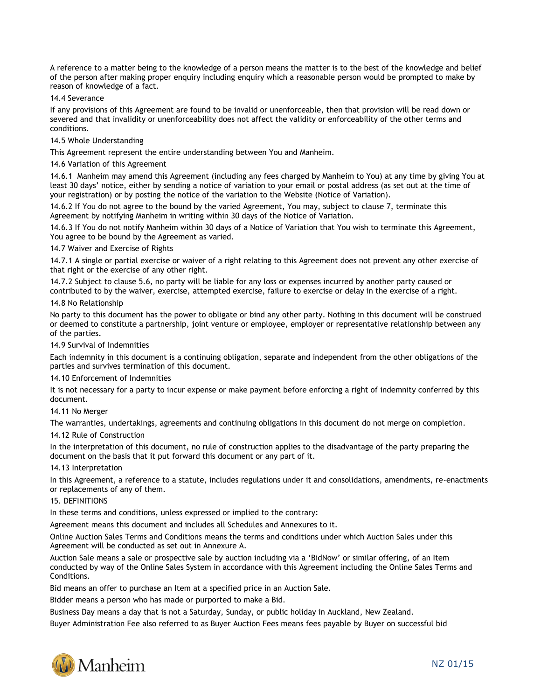A reference to a matter being to the knowledge of a person means the matter is to the best of the knowledge and belief of the person after making proper enquiry including enquiry which a reasonable person would be prompted to make by reason of knowledge of a fact.

14.4 Severance

If any provisions of this Agreement are found to be invalid or unenforceable, then that provision will be read down or severed and that invalidity or unenforceability does not affect the validity or enforceability of the other terms and conditions.

### 14.5 Whole Understanding

This Agreement represent the entire understanding between You and Manheim.

### 14.6 Variation of this Agreement

14.6.1 Manheim may amend this Agreement (including any fees charged by Manheim to You) at any time by giving You at least 30 days' notice, either by sending a notice of variation to your email or postal address (as set out at the time of your registration) or by posting the notice of the variation to the Website (Notice of Variation).

14.6.2 If You do not agree to the bound by the varied Agreement, You may, subject to clause 7, terminate this Agreement by notifying Manheim in writing within 30 days of the Notice of Variation.

14.6.3 If You do not notify Manheim within 30 days of a Notice of Variation that You wish to terminate this Agreement, You agree to be bound by the Agreement as varied.

14.7 Waiver and Exercise of Rights

14.7.1 A single or partial exercise or waiver of a right relating to this Agreement does not prevent any other exercise of that right or the exercise of any other right.

14.7.2 Subject to clause 5.6, no party will be liable for any loss or expenses incurred by another party caused or contributed to by the waiver, exercise, attempted exercise, failure to exercise or delay in the exercise of a right.

### 14.8 No Relationship

No party to this document has the power to obligate or bind any other party. Nothing in this document will be construed or deemed to constitute a partnership, joint venture or employee, employer or representative relationship between any of the parties.

14.9 Survival of Indemnities

Each indemnity in this document is a continuing obligation, separate and independent from the other obligations of the parties and survives termination of this document.

### 14.10 Enforcement of Indemnities

It is not necessary for a party to incur expense or make payment before enforcing a right of indemnity conferred by this document.

14.11 No Merger

The warranties, undertakings, agreements and continuing obligations in this document do not merge on completion.

## 14.12 Rule of Construction

In the interpretation of this document, no rule of construction applies to the disadvantage of the party preparing the document on the basis that it put forward this document or any part of it.

### 14.13 Interpretation

In this Agreement, a reference to a statute, includes regulations under it and consolidations, amendments, re-enactments or replacements of any of them.

### 15. DEFINITIONS

In these terms and conditions, unless expressed or implied to the contrary:

Agreement means this document and includes all Schedules and Annexures to it.

Online Auction Sales Terms and Conditions means the terms and conditions under which Auction Sales under this Agreement will be conducted as set out in Annexure A.

Auction Sale means a sale or prospective sale by auction including via a 'BidNow' or similar offering, of an Item conducted by way of the Online Sales System in accordance with this Agreement including the Online Sales Terms and Conditions.

Bid means an offer to purchase an Item at a specified price in an Auction Sale.

Bidder means a person who has made or purported to make a Bid.

Business Day means a day that is not a Saturday, Sunday, or public holiday in Auckland, New Zealand.

Buyer Administration Fee also referred to as Buyer Auction Fees means fees payable by Buyer on successful bid

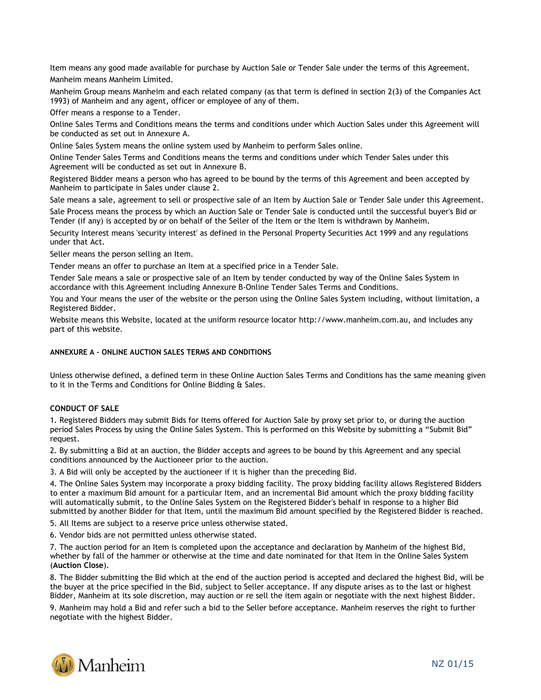Item means any good made available for purchase by Auction Sale or Tender Sale under the terms of this Agreement. Manheim means Manheim Limited.

Manheim Group means Manheim and each related company (as that term is defined in section 2(3) of the Companies Act 1993) of Manheim and any agent, officer or employee of any of them.

Offer means a response to a Tender.

Online Sales Terms and Conditions means the terms and conditions under which Auction Sales under this Agreement will be conducted as set out in Annexure A.

Online Sales System means the online system used by Manheim to perform Sales online.

Online Tender Sales Terms and Conditions means the terms and conditions under which Tender Sales under this Agreement will be conducted as set out in Annexure B.

Registered Bidder means a person who has agreed to be bound by the terms of this Agreement and been accepted by Manheim to participate in Sales under clause 2.

Sale means a sale, agreement to sell or prospective sale of an Item by Auction Sale or Tender Sale under this Agreement. Sale Process means the process by which an Auction Sale or Tender Sale is conducted until the successful buyer's Bid or Tender (if any) is accepted by or on behalf of the Seller of the Item or the Item is withdrawn by Manheim.

Security Interest means 'security interest' as defined in the Personal Property Securities Act 1999 and any regulations under that Act.

Seller means the person selling an Item.

Tender means an offer to purchase an Item at a specified price in a Tender Sale.

Tender Sale means a sale or prospective sale of an Item by tender conducted by way of the Online Sales System in accordance with this Agreement including Annexure B-Online Tender Sales Terms and Conditions.

You and Your means the user of the website or the person using the Online Sales System including, without limitation, a Registered Bidder.

Website means this Website, located at the uniform resource locator [http://www.manheim.com.au,](http://www.manheimfowles.com.au/) and includes any part of this website.

# **ANNEXURE A – ONLINE AUCTION SALES TERMS AND CONDITIONS**

Unless otherwise defined, a defined term in these Online Auction Sales Terms and Conditions has the same meaning given to it in the Terms and Conditions for Online Bidding & Sales.

# **CONDUCT OF SALE**

1. Registered Bidders may submit Bids for Items offered for Auction Sale by proxy set prior to, or during the auction period Sales Process by using the Online Sales System. This is performed on this Website by submitting a "Submit Bid" request.

2. By submitting a Bid at an auction, the Bidder accepts and agrees to be bound by this Agreement and any special conditions announced by the Auctioneer prior to the auction.

3. A Bid will only be accepted by the auctioneer if it is higher than the preceding Bid.

4. The Online Sales System may incorporate a proxy bidding facility. The proxy bidding facility allows Registered Bidders to enter a maximum Bid amount for a particular Item, and an incremental Bid amount which the proxy bidding facility will automatically submit, to the Online Sales System on the Registered Bidder's behalf in response to a higher Bid submitted by another Bidder for that Item, until the maximum Bid amount specified by the Registered Bidder is reached.

5. All Items are subject to a reserve price unless otherwise stated.

6. Vendor bids are not permitted unless otherwise stated.

7. The auction period for an Item is completed upon the acceptance and declaration by Manheim of the highest Bid, whether by fall of the hammer or otherwise at the time and date nominated for that Item in the Online Sales System (**Auction Close**).

8. The Bidder submitting the Bid which at the end of the auction period is accepted and declared the highest Bid, will be the buyer at the price specified in the Bid, subject to Seller acceptance. If any dispute arises as to the last or highest Bidder, Manheim at its sole discretion, may auction or re sell the item again or negotiate with the next highest Bidder.

9. Manheim may hold a Bid and refer such a bid to the Seller before acceptance. Manheim reserves the right to further negotiate with the highest Bidder.

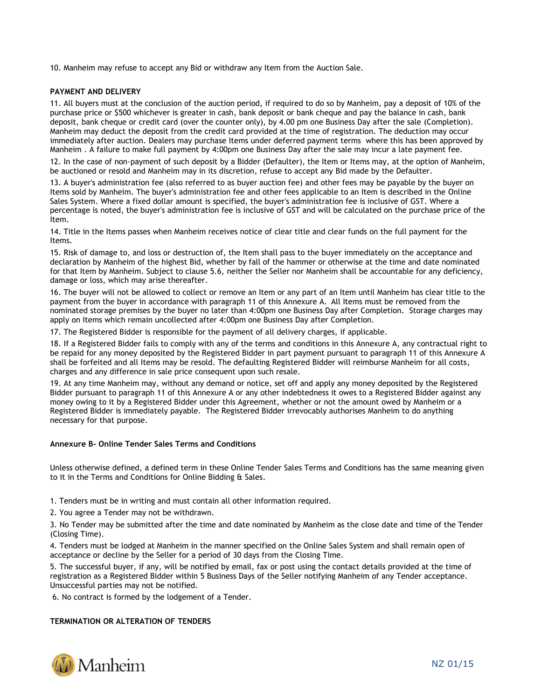10. Manheim may refuse to accept any Bid or withdraw any Item from the Auction Sale.

### **PAYMENT AND DELIVERY**

11. All buyers must at the conclusion of the auction period, if required to do so by Manheim, pay a deposit of 10% of the purchase price or \$500 whichever is greater in cash, bank deposit or bank cheque and pay the balance in cash, bank deposit, bank cheque or credit card (over the counter only), by 4.00 pm one Business Day after the sale (Completion). Manheim may deduct the deposit from the credit card provided at the time of registration. The deduction may occur immediately after auction. Dealers may purchase Items under deferred payment terms where this has been approved by Manheim . A failure to make full payment by 4:00pm one Business Day after the sale may incur a late payment fee.

12. In the case of non-payment of such deposit by a Bidder (Defaulter), the Item or Items may, at the option of Manheim, be auctioned or resold and Manheim may in its discretion, refuse to accept any Bid made by the Defaulter.

13. A buyer's administration fee (also referred to as buyer auction fee) and other fees may be payable by the buyer on Items sold by Manheim. The buyer's administration fee and other fees applicable to an Item is described in the Online Sales System. Where a fixed dollar amount is specified, the buyer's administration fee is inclusive of GST. Where a percentage is noted, the buyer's administration fee is inclusive of GST and will be calculated on the purchase price of the Item.

14. Title in the Items passes when Manheim receives notice of clear title and clear funds on the full payment for the Items.

15. Risk of damage to, and loss or destruction of, the Item shall pass to the buyer immediately on the acceptance and declaration by Manheim of the highest Bid, whether by fall of the hammer or otherwise at the time and date nominated for that Item by Manheim. Subject to clause 5.6, neither the Seller nor Manheim shall be accountable for any deficiency, damage or loss, which may arise thereafter.

16. The buyer will not be allowed to collect or remove an Item or any part of an Item until Manheim has clear title to the payment from the buyer in accordance with paragraph 11 of this Annexure A. All Items must be removed from the nominated storage premises by the buyer no later than 4:00pm one Business Day after Completion. Storage charges may apply on Items which remain uncollected after 4:00pm one Business Day after Completion.

17. The Registered Bidder is responsible for the payment of all delivery charges, if applicable.

18. If a Registered Bidder fails to comply with any of the terms and conditions in this Annexure A, any contractual right to be repaid for any money deposited by the Registered Bidder in part payment pursuant to paragraph 11 of this Annexure A shall be forfeited and all Items may be resold. The defaulting Registered Bidder will reimburse Manheim for all costs, charges and any difference in sale price consequent upon such resale.

19. At any time Manheim may, without any demand or notice, set off and apply any money deposited by the Registered Bidder pursuant to paragraph 11 of this Annexure A or any other indebtedness it owes to a Registered Bidder against any money owing to it by a Registered Bidder under this Agreement, whether or not the amount owed by Manheim or a Registered Bidder is immediately payable. The Registered Bidder irrevocably authorises Manheim to do anything necessary for that purpose.

### **Annexure B- Online Tender Sales Terms and Conditions**

Unless otherwise defined, a defined term in these Online Tender Sales Terms and Conditions has the same meaning given to it in the Terms and Conditions for Online Bidding & Sales.

1. Tenders must be in writing and must contain all other information required.

2. You agree a Tender may not be withdrawn.

3. No Tender may be submitted after the time and date nominated by Manheim as the close date and time of the Tender (Closing Time).

4. Tenders must be lodged at Manheim in the manner specified on the Online Sales System and shall remain open of acceptance or decline by the Seller for a period of 30 days from the Closing Time.

5. The successful buyer, if any, will be notified by email, fax or post using the contact details provided at the time of registration as a Registered Bidder within 5 Business Days of the Seller notifying Manheim of any Tender acceptance. Unsuccessful parties may not be notified.

6. No contract is formed by the lodgement of a Tender.

### **TERMINATION OR ALTERATION OF TENDERS**